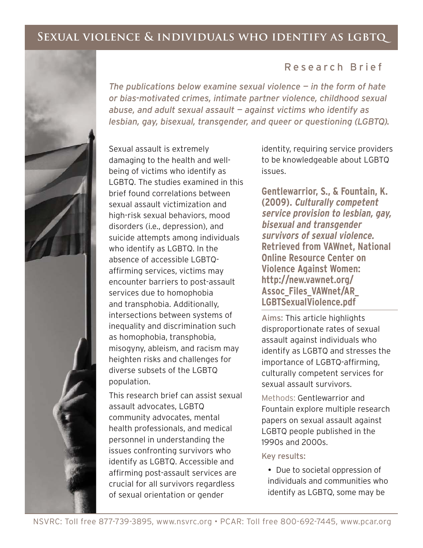# **Sexual violence & individuals who identify as lgbtq**

*The publications below examine sexual violence — in the form of hate or bias-motivated crimes, intimate partner violence, childhood sexual* 

*lesbian, gay, bisexual, transgender, and queer or questioning (LGBTQ).* 

*abuse, and adult sexual assault — against victims who identify as* 



### Sexual assault is extremely damaging to the health and wellbeing of victims who identify as LGBTQ. The studies examined in this brief found correlations between sexual assault victimization and high-risk sexual behaviors, mood disorders (i.e., depression), and suicide attempts among individuals who identify as LGBTQ. In the absence of accessible LGBTQaffirming services, victims may encounter barriers to post-assault services due to homophobia and transphobia. Additionally, intersections between systems of inequality and discrimination such as homophobia, transphobia, misogyny, ableism, and racism may heighten risks and challenges for diverse subsets of the LGBTQ population.

This research brief can assist sexual assault advocates, LGBTQ community advocates, mental health professionals, and medical personnel in understanding the issues confronting survivors who identify as LGBTQ. Accessible and affirming post-assault services are crucial for all survivors regardless of sexual orientation or gender

identity, requiring service providers to be knowledgeable about LGBTQ issues.

**Gentlewarrior, S., & Fountain, K. (2009). Culturally competent service provision to lesbian, gay, bisexual and transgender survivors of sexual violence. Retrieved from VAWnet, National Online Resource Center on Violence Against Women: http://new.vawnet.org/ Assoc\_Files\_VAWnet/AR\_ LGBTSexualViolence.pdf**

Aims: This article highlights disproportionate rates of sexual assault against individuals who identify as LGBTQ and stresses the importance of LGBTQ-affirming, culturally competent services for sexual assault survivors.

Methods: Gentlewarrior and Fountain explore multiple research papers on sexual assault against LGBTQ people published in the 1990s and 2000s.

### Key results:

- Due to societal oppression of individuals and communities who identify as LGBTQ, some may be

## Research Brief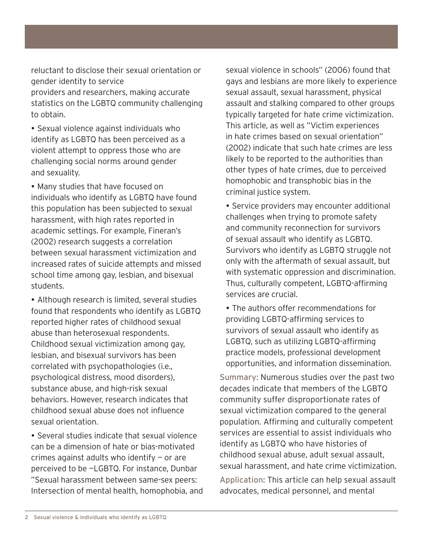reluctant to disclose their sexual orientation or gender identity to service providers and researchers, making accurate statistics on the LGBTQ community challenging to obtain.

- Sexual violence against individuals who identify as LGBTQ has been perceived as a violent attempt to oppress those who are challenging social norms around gender and sexuality.

- Many studies that have focused on individuals who identify as LGBTQ have found this population has been subjected to sexual harassment, with high rates reported in academic settings. For example, Fineran's (2002) research suggests a correlation between sexual harassment victimization and increased rates of suicide attempts and missed school time among gay, lesbian, and bisexual students.

- Although research is limited, several studies found that respondents who identify as LGBTQ reported higher rates of childhood sexual abuse than heterosexual respondents. Childhood sexual victimization among gay, lesbian, and bisexual survivors has been correlated with psychopathologies (i.e., psychological distress, mood disorders), substance abuse, and high-risk sexual behaviors. However, research indicates that childhood sexual abuse does not influence sexual orientation.

- Several studies indicate that sexual violence can be a dimension of hate or bias-motivated crimes against adults who identify  $-$  or are perceived to be —LGBTQ. For instance, Dunbar "Sexual harassment between same-sex peers: Intersection of mental health, homophobia, and

sexual violence in schools" (2006) found that gays and lesbians are more likely to experience sexual assault, sexual harassment, physical assault and stalking compared to other groups typically targeted for hate crime victimization. This article, as well as "Victim experiences in hate crimes based on sexual orientation" (2002) indicate that such hate crimes are less likely to be reported to the authorities than other types of hate crimes, due to perceived homophobic and transphobic bias in the criminal justice system.

- Service providers may encounter additional challenges when trying to promote safety and community reconnection for survivors of sexual assault who identify as LGBTQ. Survivors who identify as LGBTQ struggle not only with the aftermath of sexual assault, but with systematic oppression and discrimination. Thus, culturally competent, LGBTQ-affirming services are crucial.

- The authors offer recommendations for providing LGBTQ-affirming services to survivors of sexual assault who identify as LGBTQ, such as utilizing LGBTQ-affirming practice models, professional development opportunities, and information dissemination.

Summary: Numerous studies over the past two decades indicate that members of the LGBTQ community suffer disproportionate rates of sexual victimization compared to the general population. Affirming and culturally competent services are essential to assist individuals who identify as LGBTQ who have histories of childhood sexual abuse, adult sexual assault, sexual harassment, and hate crime victimization.

Application: This article can help sexual assault advocates, medical personnel, and mental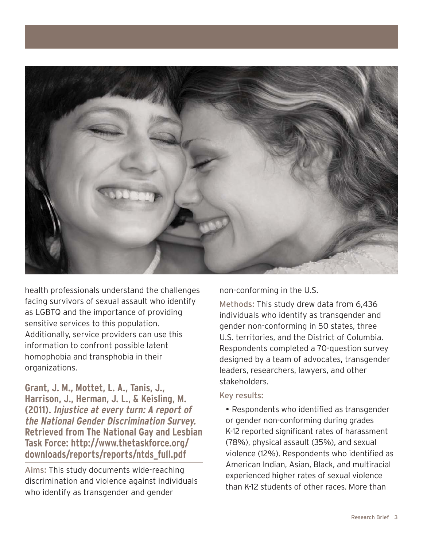

health professionals understand the challenges facing survivors of sexual assault who identify as LGBTQ and the importance of providing sensitive services to this population. Additionally, service providers can use this information to confront possible latent homophobia and transphobia in their organizations.

**Grant, J. M., Mottet, L. A., Tanis, J., Harrison, J., Herman, J. L., & Keisling, M. (2011). Injustice at every turn: A report of the National Gender Discrimination Survey. Retrieved from The National Gay and Lesbian Task Force: http://www.thetaskforce.org/ downloads/reports/reports/ntds\_full.pdf**

Aims: This study documents wide-reaching discrimination and violence against individuals who identify as transgender and gender

non-conforming in the U.S.

Methods: This study drew data from 6,436 individuals who identify as transgender and gender non-conforming in 50 states, three U.S. territories, and the District of Columbia. Respondents completed a 70-question survey designed by a team of advocates, transgender leaders, researchers, lawyers, and other stakeholders.

#### Key results:

- Respondents who identified as transgender or gender non-conforming during grades K-12 reported significant rates of harassment (78%), physical assault (35%), and sexual violence (12%). Respondents who identified as American Indian, Asian, Black, and multiracial experienced higher rates of sexual violence than K-12 students of other races. More than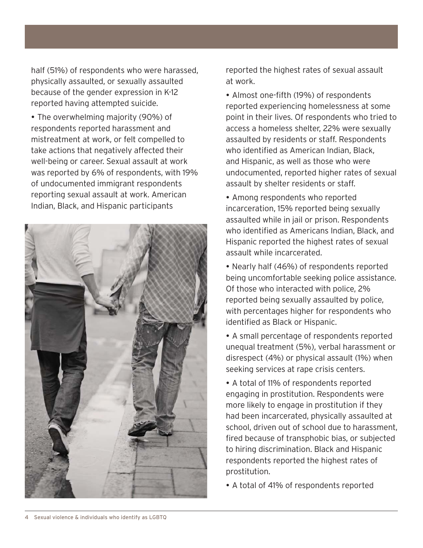half (51%) of respondents who were harassed, physically assaulted, or sexually assaulted because of the gender expression in K-12 reported having attempted suicide.

- The overwhelming majority (90%) of respondents reported harassment and mistreatment at work, or felt compelled to take actions that negatively affected their well-being or career. Sexual assault at work was reported by 6% of respondents, with  $19\%$ of undocumented immigrant respondents reporting sexual assault at work. American Indian, Black, and Hispanic participants



reported the highest rates of sexual assault at work.

- Almost one-fifth (19%) of respondents reported experiencing homelessness at some point in their lives. Of respondents who tried to access a homeless shelter, 22% were sexually assaulted by residents or staff. Respondents who identified as American Indian, Black, and Hispanic, as well as those who were undocumented, reported higher rates of sexual assault by shelter residents or staff.

- Among respondents who reported incarceration, 15% reported being sexually assaulted while in jail or prison. Respondents who identified as Americans Indian, Black, and Hispanic reported the highest rates of sexual assault while incarcerated.

• Nearly half (46%) of respondents reported being uncomfortable seeking police assistance. Of those who interacted with police, 2% reported being sexually assaulted by police, with percentages higher for respondents who identified as Black or Hispanic.

- A small percentage of respondents reported unequal treatment (5%), verbal harassment or disrespect  $(4\%)$  or physical assault  $(1\%)$  when seeking services at rape crisis centers.

- A total of 11% of respondents reported engaging in prostitution. Respondents were more likely to engage in prostitution if they had been incarcerated, physically assaulted at school, driven out of school due to harassment, fired because of transphobic bias, or subjected to hiring discrimination. Black and Hispanic respondents reported the highest rates of prostitution.

• A total of 41% of respondents reported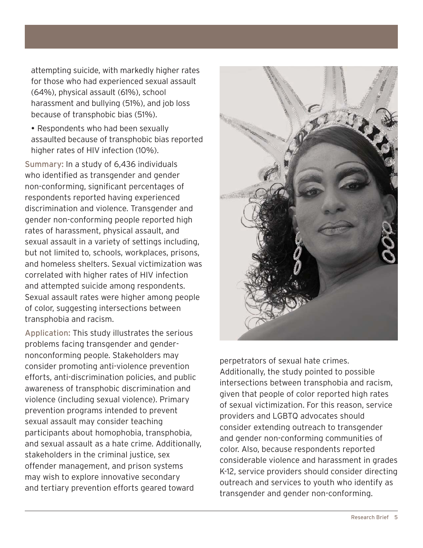attempting suicide, with markedly higher rates for those who had experienced sexual assault  $(64%)$ , physical assault  $(61%)$ , school harassment and bullying (51%), and job loss because of transphobic bias (51%).

- Respondents who had been sexually assaulted because of transphobic bias reported higher rates of HIV infection (10%).

Summary: In a study of 6,436 individuals who identified as transgender and gender non-conforming, significant percentages of respondents reported having experienced discrimination and violence. Transgender and gender non-conforming people reported high rates of harassment, physical assault, and sexual assault in a variety of settings including, but not limited to, schools, workplaces, prisons, and homeless shelters. Sexual victimization was correlated with higher rates of HIV infection and attempted suicide among respondents. Sexual assault rates were higher among people of color, suggesting intersections between transphobia and racism.

Application: This study illustrates the serious problems facing transgender and gendernonconforming people. Stakeholders may consider promoting anti-violence prevention efforts, anti-discrimination policies, and public awareness of transphobic discrimination and violence (including sexual violence). Primary prevention programs intended to prevent sexual assault may consider teaching participants about homophobia, transphobia, and sexual assault as a hate crime. Additionally, stakeholders in the criminal justice, sex offender management, and prison systems may wish to explore innovative secondary and tertiary prevention efforts geared toward



perpetrators of sexual hate crimes. Additionally, the study pointed to possible intersections between transphobia and racism, given that people of color reported high rates of sexual victimization. For this reason, service providers and LGBTQ advocates should consider extending outreach to transgender and gender non-conforming communities of color. Also, because respondents reported considerable violence and harassment in grades K-12, service providers should consider directing outreach and services to youth who identify as transgender and gender non-conforming.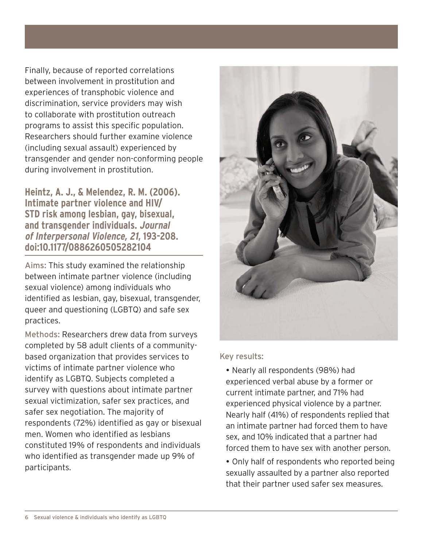Finally, because of reported correlations between involvement in prostitution and experiences of transphobic violence and discrimination, service providers may wish to collaborate with prostitution outreach programs to assist this specific population. Researchers should further examine violence (including sexual assault) experienced by transgender and gender non-conforming people during involvement in prostitution.

**Heintz, A. J., & Melendez, R. M. (2006). Intimate partner violence and HIV/ STD risk among lesbian, gay, bisexual, and transgender individuals. Journal of Interpersonal Violence, 21, 193-208. doi:10.1177/0886260505282104**

Aims: This study examined the relationship between intimate partner violence (including sexual violence) among individuals who identified as lesbian, gay, bisexual, transgender, queer and questioning (LGBTQ) and safe sex practices.

Methods: Researchers drew data from surveys completed by 58 adult clients of a communitybased organization that provides services to victims of intimate partner violence who identify as LGBTQ. Subjects completed a survey with questions about intimate partner sexual victimization, safer sex practices, and safer sex negotiation. The majority of respondents (72%) identified as gay or bisexual men. Women who identified as lesbians constituted 19% of respondents and individuals who identified as transgender made up 9% of participants.



#### Key results:

- Nearly all respondents (98%) had experienced verbal abuse by a former or current intimate partner, and 71% had experienced physical violence by a partner. Nearly half (41%) of respondents replied that an intimate partner had forced them to have sex, and 10% indicated that a partner had forced them to have sex with another person.

- Only half of respondents who reported being sexually assaulted by a partner also reported that their partner used safer sex measures.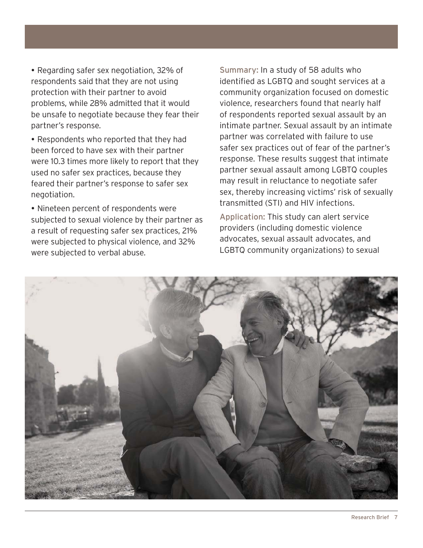- Regarding safer sex negotiation, 32% of respondents said that they are not using protection with their partner to avoid problems, while 28% admitted that it would be unsafe to negotiate because they fear their partner's response.

- Respondents who reported that they had been forced to have sex with their partner were 10.3 times more likely to report that they used no safer sex practices, because they feared their partner's response to safer sex negotiation.

- Nineteen percent of respondents were subjected to sexual violence by their partner as a result of requesting safer sex practices, 21% were subjected to physical violence, and 32% were subjected to verbal abuse.

Summary: In a study of 58 adults who identified as LGBTQ and sought services at a community organization focused on domestic violence, researchers found that nearly half of respondents reported sexual assault by an intimate partner. Sexual assault by an intimate partner was correlated with failure to use safer sex practices out of fear of the partner's response. These results suggest that intimate partner sexual assault among LGBTQ couples may result in reluctance to negotiate safer sex, thereby increasing victims' risk of sexually transmitted (STI) and HIV infections.

Application: This study can alert service providers (including domestic violence advocates, sexual assault advocates, and LGBTQ community organizations) to sexual

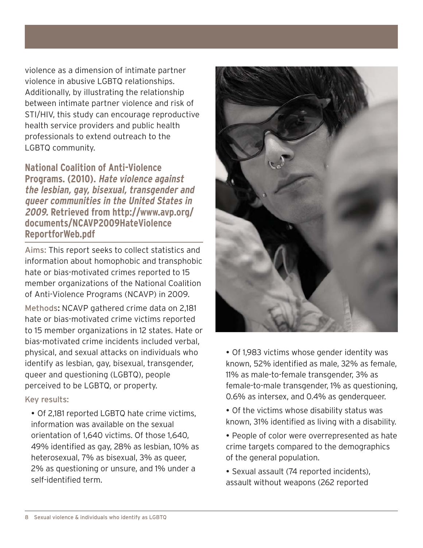violence as a dimension of intimate partner violence in abusive LGBTQ relationships. Additionally, by illustrating the relationship between intimate partner violence and risk of STI/HIV, this study can encourage reproductive health service providers and public health professionals to extend outreach to the LGBTQ community.

**National Coalition of Anti-Violence Programs. (2010). Hate violence against the lesbian, gay, bisexual, transgender and queer communities in the United States in 2009. Retrieved from http://www.avp.org/ documents/NCAVP2009HateViolence ReportforWeb.pdf**

Aims: This report seeks to collect statistics and information about homophobic and transphobic hate or bias-motivated crimes reported to 15 member organizations of the National Coalition of Anti-Violence Programs (NCAVP) in 2009.

Methods: NCAVP gathered crime data on 2,181 hate or bias-motivated crime victims reported to 15 member organizations in 12 states. Hate or bias-motivated crime incidents included verbal, physical, and sexual attacks on individuals who identify as lesbian, gay, bisexual, transgender, queer and questioning (LGBTQ), people perceived to be LGBTQ, or property.

### Key results:

- Of 2,181 reported LGBTQ hate crime victims, information was available on the sexual orientation of  $1.640$  victims. Of those  $1.640$ . 49% identified as gay, 28% as lesbian,  $10\%$  as heterosexual, 7% as bisexual, 3% as queer, 2% as questioning or unsure, and 1% under a self-identified term.



- Of 1,983 victims whose gender identity was known, 52% identified as male, 32% as female, 11% as male-to-female transgender, 3% as female-to-male transgender, 1% as questioning,  $0.6\%$  as intersex, and 0.4% as gendergueer.

- Of the victims whose disability status was known, 31% identified as living with a disability.

• People of color were overrepresented as hate crime targets compared to the demographics of the general population.

· Sexual assault (74 reported incidents), assault without weapons (262 reported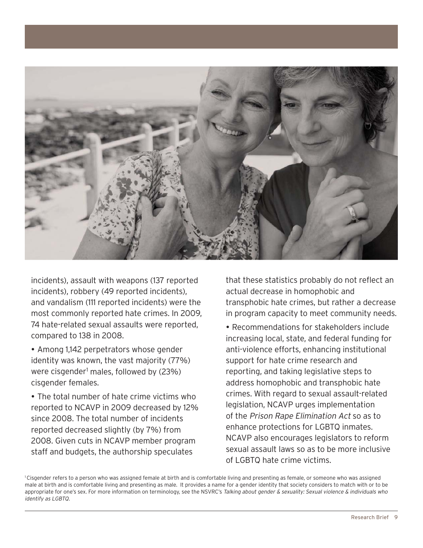

incidents), assault with weapons (137 reported  $incidents)$ , robbery (49 reported incidents), and vandalism (111 reported incidents) were the most commonly reported hate crimes. In 2009, 74 hate-related sexual assaults were reported, compared to 138 in 2008.

• Among 1,142 perpetrators whose gender identity was known, the vast majority (77%) were cisgender<sup>1</sup> males, followed by (23%) cisgender females.

- The total number of hate crime victims who reported to NCAVP in 2009 decreased by  $12\%$ since 2008. The total number of incidents reported decreased slightly (by 7%) from 2008. Given cuts in NCAVP member program staff and budgets, the authorship speculates

that these statistics probably do not reflect an actual decrease in homophobic and transphobic hate crimes, but rather a decrease in program capacity to meet community needs.

- Recommendations for stakeholders include increasing local, state, and federal funding for anti-violence efforts, enhancing institutional support for hate crime research and reporting, and taking legislative steps to address homophobic and transphobic hate crimes. With regard to sexual assault-related  $legislation$ , NCAVP urges implementation of the Prison Rape Elimination Act so as to enhance protections for LGBTQ inmates.  $NCAVP$  also encourages legislators to reform sexual assault laws so as to be more inclusive of LGBTQ hate crime victims.

1 Cisgender refers to a person who was assigned female at birth and is comfortable living and presenting as female, or someone who was assigned male at birth and is comfortable living and presenting as male. It provides a name for a gender identity that society considers to match with or to be appropriate for one's sex. For more information on terminology, see the NSVRC's Talking about gender & sexuality: Sexual violence & individuals who identify as LGBTQ.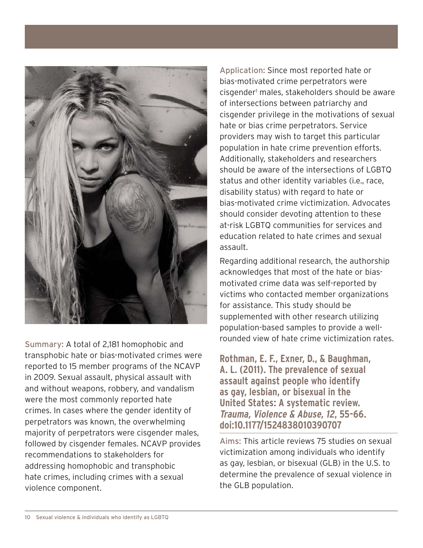

Summary: A total of 2,181 homophobic and transphobic hate or bias-motivated crimes were reported to 15 member programs of the NCAVP in 2009. Sexual assault, physical assault with and without weapons, robbery, and vandalism were the most commonly reported hate crimes. In cases where the gender identity of perpetrators was known, the overwhelming majority of perpetrators were cisgender males,  $f$ ollowed by cisgender females. NCAVP provides recommendations to stakeholders for addressing homophobic and transphobic hate crimes, including crimes with a sexual violence component.

Application: Since most reported hate or bias-motivated crime perpetrators were cisgender<sup>1</sup> males, stakeholders should be aware of intersections between patriarchy and cisgender privilege in the motivations of sexual hate or bias crime perpetrators. Service providers may wish to target this particular population in hate crime prevention efforts. Additionally, stakeholders and researchers should be aware of the intersections of LGBTQ status and other identity variables (i.e., race, disability status) with regard to hate or bias-motivated crime victimization. Advocates should consider devoting attention to these at-risk LGBTQ communities for services and education related to hate crimes and sexual assault.

Regarding additional research, the authorship acknowledges that most of the hate or biasmotivated crime data was self-reported by victims who contacted member organizations for assistance. This study should be supplemented with other research utilizing population-based samples to provide a wellrounded view of hate crime victimization rates.

**Rothman, E. F., Exner, D., & Baughman, A. L. (2011). The prevalence of sexual assault against people who identify as gay, lesbian, or bisexual in the United States: A systematic review. Trauma, Violence & Abuse, 12, 55-66. doi:10.1177/1524838010390707**

Aims: This article reviews 75 studies on sexual victimization among individuals who identify as gay, lesbian, or bisexual (GLB) in the U.S. to determine the prevalence of sexual violence in the GLB population.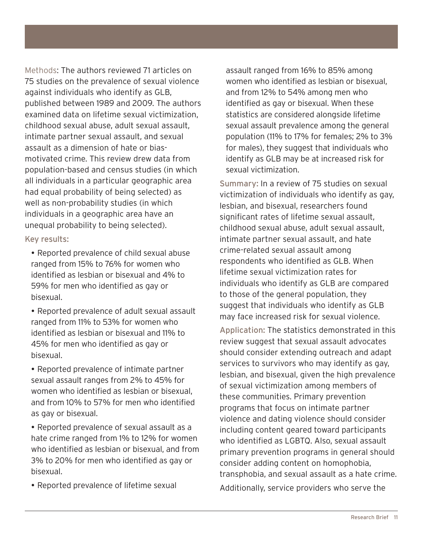Methods: The authors reviewed 71 articles on 75 studies on the prevalence of sexual violence against individuals who identify as GLB, published between 1989 and 2009. The authors examined data on lifetime sexual victimization, childhood sexual abuse, adult sexual assault, intimate partner sexual assault, and sexual assault as a dimension of hate or biasmotivated crime. This review drew data from population-based and census studies (in which all individuals in a particular geographic area had equal probability of being selected) as well as non-probability studies (in which individuals in a geographic area have an unequal probability to being selected).

#### Key results:

- Reported prevalence of child sexual abuse ranged from 15% to 76% for women who  $i$ dentified as lesbian or bisexual and 4% to 59% for men who identified as gay or bisexual.
- Reported prevalence of adult sexual assault ranged from 11% to 53% for women who identified as lesbian or bisexual and 11% to 45% for men who identified as gay or bisexual.

- Reported prevalence of intimate partner sexual assault ranges from 2% to 45% for women who identified as lesbian or bisexual, and from 10% to 57% for men who identified as gay or bisexual.

- Reported prevalence of sexual assault as a hate crime ranged from 1% to 12% for women who identified as lesbian or bisexual, and from 3% to 20% for men who identified as gay or bisexual.

- Reported prevalence of lifetime sexual

assault ranged from 16% to 85% among women who identified as lesbian or bisexual, and from 12% to  $54%$  among men who identified as gay or bisexual. When these statistics are considered alongside lifetime sexual assault prevalence among the general population (11% to 17% for females; 2% to 3% for males), they suggest that individuals who identify as GLB may be at increased risk for sexual victimization.

Summary: In a review of 75 studies on sexual victimization of individuals who identify as gay, lesbian, and bisexual, researchers found significant rates of lifetime sexual assault, childhood sexual abuse, adult sexual assault, intimate partner sexual assault, and hate crime-related sexual assault among respondents who identified as GLB. When lifetime sexual victimization rates for individuals who identify as GLB are compared to those of the general population, they suggest that individuals who identify as GLB may face increased risk for sexual violence.

Application: The statistics demonstrated in this review suggest that sexual assault advocates should consider extending outreach and adapt services to survivors who may identify as gay, lesbian, and bisexual, given the high prevalence of sexual victimization among members of these communities. Primary prevention programs that focus on intimate partner violence and dating violence should consider including content geared toward participants who identified as LGBTQ. Also, sexual assault primary prevention programs in general should consider adding content on homophobia, transphobia, and sexual assault as a hate crime. Additionally, service providers who serve the